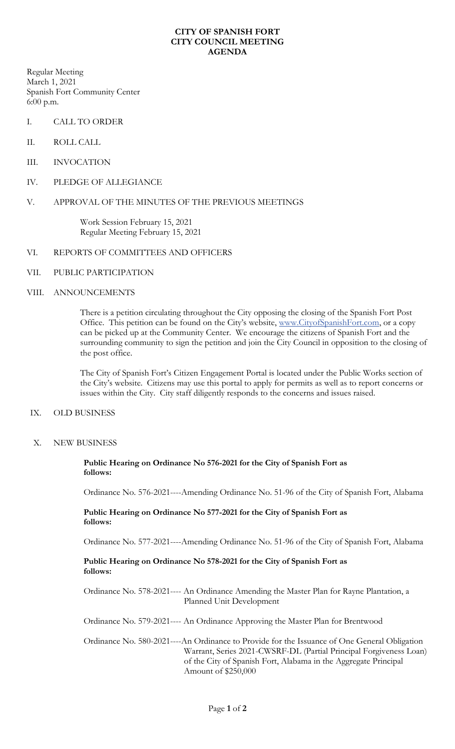#### **CITY OF SPANISH FORT CITY COUNCIL MEETING AGENDA**

Regular Meeting March 1, 2021 Spanish Fort Community Center 6:00 p.m.

- I. CALL TO ORDER
- II. ROLL CALL
- III. INVOCATION
- IV. PLEDGE OF ALLEGIANCE

# V. APPROVAL OF THE MINUTES OF THE PREVIOUS MEETINGS

Work Session February 15, 2021 Regular Meeting February 15, 2021

## VI. REPORTS OF COMMITTEES AND OFFICERS

VII. PUBLIC PARTICIPATION

## VIII. ANNOUNCEMENTS

There is a petition circulating throughout the City opposing the closing of the Spanish Fort Post Office. This petition can be found on the City's website, [www.CityofSpanishFort.com,](http://www.cityofspanishfort.com/) or a copy can be picked up at the Community Center. We encourage the citizens of Spanish Fort and the surrounding community to sign the petition and join the City Council in opposition to the closing of the post office.

The City of Spanish Fort's Citizen Engagement Portal is located under the Public Works section of the City's website. Citizens may use this portal to apply for permits as well as to report concerns or issues within the City. City staff diligently responds to the concerns and issues raised.

## IX. OLD BUSINESS

X. NEW BUSINESS

**Public Hearing on Ordinance No 576-2021 for the City of Spanish Fort as follows:**

Ordinance No. 576-2021----Amending Ordinance No. 51-96 of the City of Spanish Fort, Alabama

#### **Public Hearing on Ordinance No 577-2021 for the City of Spanish Fort as follows:**

Ordinance No. 577-2021----Amending Ordinance No. 51-96 of the City of Spanish Fort, Alabama

## **Public Hearing on Ordinance No 578-2021 for the City of Spanish Fort as follows:**

Ordinance No. 578-2021---- An Ordinance Amending the Master Plan for Rayne Plantation, a Planned Unit Development

Ordinance No. 579-2021---- An Ordinance Approving the Master Plan for Brentwood

Ordinance No. 580-2021----An Ordinance to Provide for the Issuance of One General Obligation Warrant, Series 2021-CWSRF-DL (Partial Principal Forgiveness Loan) of the City of Spanish Fort, Alabama in the Aggregate Principal Amount of \$250,000